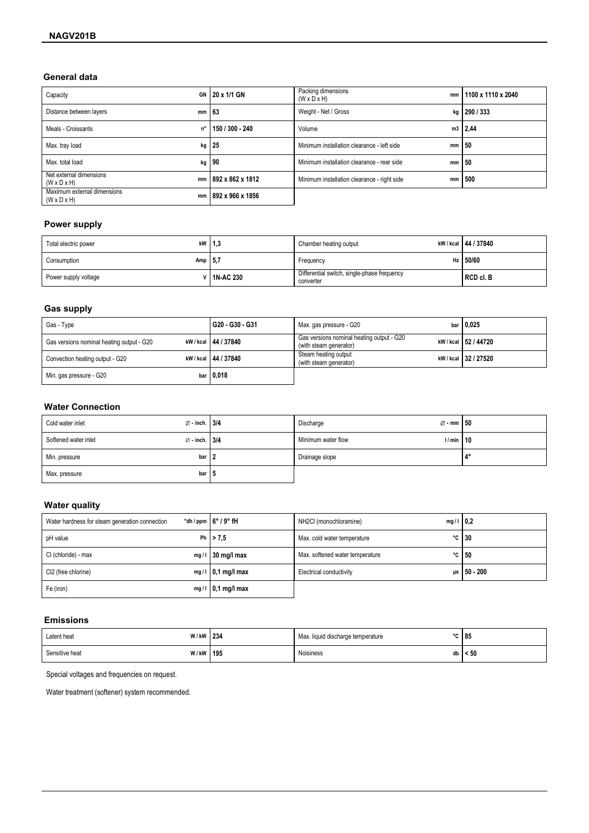## General data

| Capacity                                                     | GN 20 x 1/1 GN       | Packing dimensions<br>mm<br>$(W \times D \times H)$ | 1100 x 1110 x 2040 |
|--------------------------------------------------------------|----------------------|-----------------------------------------------------|--------------------|
| Distance between layers<br>mm                                | ∣63                  | Weight - Net / Gross                                | kg   290 / 333     |
| Meals - Croissants                                           | n°   150 / 300 - 240 | Volume                                              | m3   2,44          |
| Max. tray load                                               | $kg$ 25              | Minimum installation clearance - left side<br>mm    | 50                 |
| Max. total load<br>kg                                        | $ 90\rangle$         | Minimum installation clearance - rear side<br>mm    | 50                 |
| Net external dimensions<br>mm<br>$(W \times D \times H)$     | ∣892 x 862 x 1812    | Minimum installation clearance - right side<br>mm   | 500                |
| Maximum external dimensions<br>mm<br>$(W \times D \times H)$ | 892 x 966 x 1856     |                                                     |                    |

# **Power supply**

| Total electric power      | kW $ 1,3$            | Chamber heating output                                   | kW / kcal   44 / 37840 |
|---------------------------|----------------------|----------------------------------------------------------|------------------------|
| Amp $ 5,7$<br>Consumption |                      | Frequency                                                | Hz $150/60$            |
| Power supply voltage      | <b>∨   1N-AC 230</b> | Differential switch, single-phase frequency<br>converter | RCD cl. B              |

## **Gas supply**

| Gas - Type                                | G20 - G30 - G31        | Max. gas pressure - G20                                             | bar $ 0,025$           |
|-------------------------------------------|------------------------|---------------------------------------------------------------------|------------------------|
| Gas versions nominal heating output - G20 | kW / kcal   44 / 37840 | Gas versions nominal heating output - G20<br>(with steam generator) | kW / kcal   52 / 44720 |
| Convection heating output - G20           | kW / kcal   44 / 37840 | Steam heating output<br>(with steam generator)                      | kW / kcal 32 / 27520   |
| Min. gas pressure - G20                   | bar $ 0,018$           |                                                                     |                        |

## **Water Connection**

| $\varnothing$ - inch. 3/4<br>Cold water inlet     |         | $\varnothing$ - mm $\vert$ 50<br>Discharge |    |
|---------------------------------------------------|---------|--------------------------------------------|----|
| $\varnothing$ - inch. 3/4<br>Softened water inlet |         | Minimum water flow<br>1/min                | 10 |
| Min. pressure                                     | bar I 2 | Drainage slope                             | 10 |
| Max. pressure                                     | bar   5 |                                            |    |

## **Water quality**

| Water hardness for steam generation connection | $\degree$ dh / ppm $\frac{1}{6}$ 6 $\degree$ / 9 $\degree$ fH | NH2CI (monochloramine)<br>$mg/1$   0.2 |                    |
|------------------------------------------------|---------------------------------------------------------------|----------------------------------------|--------------------|
| pH value                                       | Ph $  > 7.5$                                                  | Max. cold water temperature            | $\degree$ C   30   |
| CI (chloride) - max                            | mg/l $ 30 \text{ mg/l}$ max                                   | Max. softened water temperature        | $\degree$ C   50   |
| CI2 (free chlorine)                            | $mg/1$   0,1 mg/l max                                         | <b>Electrical conductivity</b>         | $\mu s$   50 - 200 |
| Fe (iron)                                      | $mg/1$   0,1 mg/l max                                         |                                        |                    |

## **Emissions**

| Latent heat    | W/kW 234 |     | Max. liquid discharge temperature | $\sim$ | 85   |
|----------------|----------|-----|-----------------------------------|--------|------|
| Sensitive heat | W/kW     | 195 | Noisiness                         | db     | < 50 |

Special voltages and frequencies on request.

Water treatment (softener) system recommended.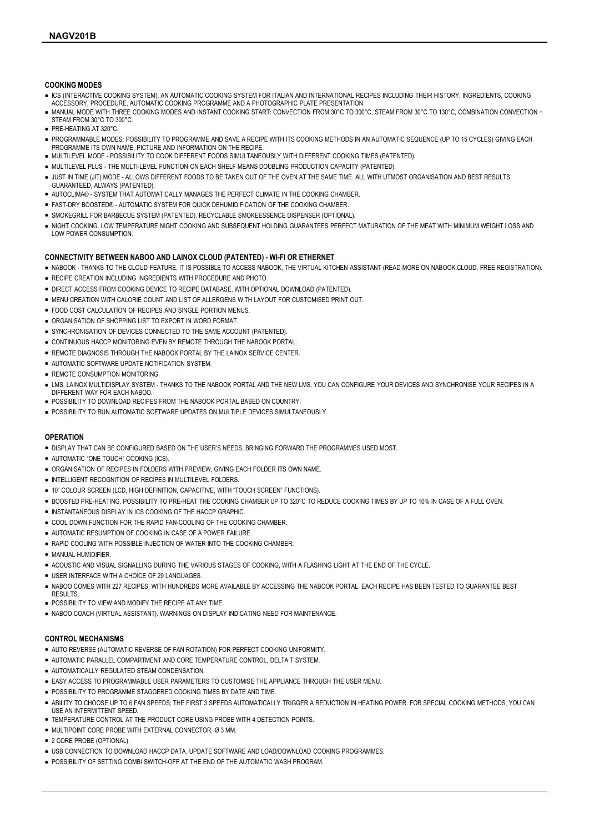#### COOKING MODES

- ICS (INTERACTIVE COOKING SYSTEM), AN AUTOMATIC COOKING SYSTEM FOR ITALIAN AND INTERNATIONAL RECIPES INCLUDING THEIR HISTORY, INGREDIENTS, COOKING ACCESSORY, PROCEDURE, AUTOMATIC COOKING PROGRAMME AND A PHOTOGRAPHIC PLATE PRESENTATION.
- MANUAL MODE WITH THREE COOKING MODES AND INSTANT COOKING START: CONVECTION FROM 30°C TO 300°C, STEAM FROM 30°C TO 130°C, COMBINATION CONVECTION + STEAM FROM 30°C TO 300°C.
- PRE-HEATING AT 320°C.
- PROGRAMMABLE MODES: POSSIBILITY TO PROGRAMME AND SAVE A RECIPE WITH ITS COOKING METHODS IN AN AUTOMATIC SEQUENCE (UP TO 15 CYCLES) GIVING EACH PROGRAMME ITS OWN NAME, PICTURE AND INFORMATION ON THE RECIPE.
- MULTILEVEL MODE POSSIBILITY TO COOK DIFFERENT FOODS SIMULTANEOUSLY WITH DIFFERENT COOKING TIMES (PATENTED).
- MULTILEVEL PLUS THE MULTI-LEVEL FUNCTION ON EACH SHELF MEANS DOUBLING PRODUCTION CAPACITY (PATENTED).
- JUST IN TIME (JIT) MODE ALLOWS DIFFERENT FOODS TO BE TAKEN OUT OF THE OVEN AT THE SAME TIME. ALL WITH UTMOST ORGANISATION AND BEST RESULTS GUARANTEED, ALWAYS (PATENTED).
- AUTOCLIMA® SYSTEM THAT AUTOMATICALLY MANAGES THE PERFECT CLIMATE IN THE COOKING CHAMBER.
- FAST-DRY BOOSTED® AUTOMATIC SYSTEM FOR QUICK DEHUMIDIFICATION OF THE COOKING CHAMBER.
- SMOKEGRILL FOR BARBECUE SYSTEM (PATENTED). RECYCLABLE SMOKEESSENCE DISPENSER (OPTIONAL).
- NIGHT COOKING. LOW TEMPERATURE NIGHT COOKING AND SUBSEQUENT HOLDING GUARANTEES PERFECT MATURATION OF THE MEAT WITH MINIMUM WEIGHT LOSS AND LOW POWER CONSUMPTION.

### CONNECTIVITY BETWEEN NABOO AND LAINOX CLOUD (PATENTED) - WI-FI OR ETHERNET

- NABOOK THANKS TO THE CLOUD FEATURE. IT IS POSSIBLE TO ACCESS NABOOK, THE VIRTUAL KITCHEN ASSISTANT (READ MORE ON NABOOK CLOUD, FREE REGISTRATION).
- **RECIPE CREATION INCLUDING INGREDIENTS WITH PROCEDURE AND PHOTO.**
- DIRECT ACCESS FROM COOKING DEVICE TO RECIPE DATABASE, WITH OPTIONAL DOWNLOAD (PATENTED).
- MENU CREATION WITH CALORIE COUNT AND LIST OF ALLERGENS WITH LAYOUT FOR CUSTOMISED PRINT OUT.
- **.** FOOD COST CALCULATION OF RECIPES AND SINGLE PORTION MENUS.
- ORGANISATION OF SHOPPING LIST TO EXPORT IN WORD FORMAT.
- SYNCHRONISATION OF DEVICES CONNECTED TO THE SAME ACCOUNT (PATENTED).
- **CONTINUOUS HACCP MONITORING EVEN BY REMOTE THROUGH THE NABOOK PORTAL**
- REMOTE DIAGNOSIS THROUGH THE NABOOK PORTAL BY THE LAINOX SERVICE CENTER.
- **AUTOMATIC SOFTWARE UPDATE NOTIFICATION SYSTEM.**
- REMOTE CONSUMPTION MONITORING.
- LMS, LAINOX MULTIDISPLAY SYSTEM THANKS TO THE NABOOK PORTAL AND THE NEW LMS, YOU CAN CONFIGURE YOUR DEVICES AND SYNCHRONISE YOUR RECIPES IN A DIFFERENT WAY FOR EACH NABOO.
- POSSIBILITY TO DOWNLOAD RECIPES FROM THE NABOOK PORTAL BASED ON COUNTRY.
- POSSIBILITY TO RUN AUTOMATIC SOFTWARE UPDATES ON MULTIPLE DEVICES SIMULTANEOUSLY.

#### **OPERATION**

● DISPLAY THAT CAN BE CONFIGURED BASED ON THE USER'S NEEDS, BRINGING FORWARD THE PROGRAMMES USED MOST.

- AUTOMATIC "ONE TOUCH" COOKING (ICS).
- ORGANISATION OF RECIPES IN FOLDERS WITH PREVIEW, GIVING EACH FOLDER ITS OWN NAME.
- INTELLIGENT RECOGNITION OF RECIPES IN MULTILEVEL FOLDERS.
- 10" COLOUR SCREEN (LCD, HIGH DEFINITION, CAPACITIVE, WITH "TOUCH SCREEN" FUNCTIONS).
- . BOOSTED PRE-HEATING. POSSIBILITY TO PRE-HEAT THE COOKING CHAMBER UP TO 320°C TO REDUCE COOKING TIMES BY UP TO 10% IN CASE OF A FULL OVEN.
- INSTANTANEOUS DISPLAY IN ICS COOKING OF THE HACCP GRAPHIC.
- **.** COOL DOWN FUNCTION FOR THE RAPID FAN-COOLING OF THE COOKING CHAMBER.
- **.** AUTOMATIC RESUMPTION OF COOKING IN CASE OF A POWER FAILURE.
- RAPID COOLING WITH POSSIBLE INJECTION OF WATER INTO THE COOKING CHAMBER.
- MANUAL HUMIDIFIER.
- ACOUSTIC AND VISUAL SIGNALLING DURING THE VARIOUS STAGES OF COOKING, WITH A FLASHING LIGHT AT THE END OF THE CYCLE.
- USER INTERFACE WITH A CHOICE OF 29 LANGUAGES.
- NABOO COMES WITH 227 RECIPES, WITH HUNDREDS MORE AVAILABLE BY ACCESSING THE NABOOK PORTAL. EACH RECIPE HAS BEEN TESTED TO GUARANTEE BEST RESULTS.
- . POSSIBILITY TO VIEW AND MODIFY THE RECIPE AT ANY TIME.
- NABOO COACH (VIRTUAL ASSISTANT). WARNINGS ON DISPLAY INDICATING NEED FOR MAINTENANCE

#### CONTROL MECHANISMS

- AUTO REVERSE (AUTOMATIC REVERSE OF FAN ROTATION) FOR PERFECT COOKING UNIFORMITY.
- AUTOMATIC PARALLEL COMPARTMENT AND CORE TEMPERATURE CONTROL, DELTA T SYSTEM.
- AUTOMATICALLY REGULATED STEAM CONDENSATION
- EASY ACCESS TO PROGRAMMABLE USER PARAMETERS TO CUSTOMISE THE APPLIANCE THROUGH THE USER MENU.
- POSSIBILITY TO PROGRAMME STAGGERED COOKING TIMES BY DATE AND TIME.
- ABILITY TO CHOOSE UP TO 6 FAN SPEEDS; THE FIRST 3 SPEEDS AUTOMATICALLY TRIGGER A REDUCTION IN HEATING POWER. FOR SPECIAL COOKING METHODS, YOU CAN USE AN INTERMITTENT SPEED.
- TEMPERATURE CONTROL AT THE PRODUCT CORE USING PROBE WITH 4 DETECTION POINTS.
- MULTIPOINT CORE PROBE WITH EXTERNAL CONNECTOR, Ø 3 MM.
- 2 CORE PROBE (OPTIONAL).
- USB CONNECTION TO DOWNLOAD HACCP DATA, UPDATE SOFTWARE AND LOAD/DOWNLOAD COOKING PROGRAMMES.
- POSSIBILITY OF SETTING COMBI SWITCH-OFF AT THE END OF THE AUTOMATIC WASH PROGRAM.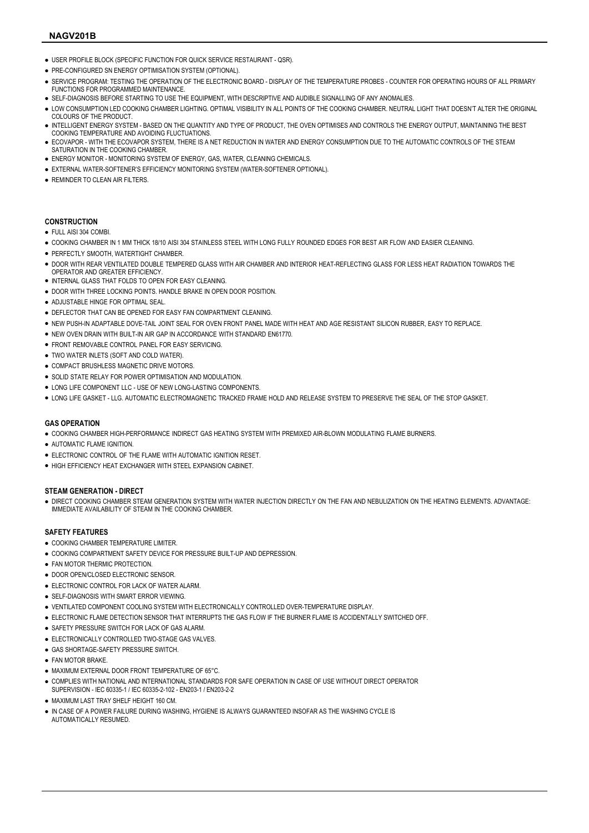## NAG201B**V**

- USER PROFILE BLOCK (SPECIFIC FUNCTION FOR QUICK SERVICE RESTAURANT QSR).
- PRE-CONFIGURED SN ENERGY OPTIMISATION SYSTEM (OPTIONAL).
- SERVICE PROGRAM: TESTING THE OPERATION OF THE ELECTRONIC BOARD DISPLAY OF THE TEMPERATURE PROBES COUNTER FOR OPERATING HOURS OF ALL PRIMARY FUNCTIONS FOR PROGRAMMED MAINTENANCE.
- SELF-DIAGNOSIS BEFORE STARTING TO USE THE FOUIPMENT, WITH DESCRIPTIVE AND AUDIBLE SIGNALLING OF ANY ANOMALIES.
- . LOW CONSUMPTION LED COOKING CHAMBER LIGHTING. OPTIMAL VISIBILITY IN ALL POINTS OF THE COOKING CHAMBER. NEUTRAL LIGHT THAT DOESN'T ALTER THE ORIGINAL COLOURS OF THE PRODUCT.
- INTELLIGENT ENERGY SYSTEM BASED ON THE QUANTITY AND TYPE OF PRODUCT, THE OVEN OPTIMISES AND CONTROLS THE ENERGY OUTPUT, MAINTAINING THE BEST COOKING TEMPERATURE AND AVOIDING FLUCTUATIONS.
- ECOVAPOR WITH THE ECOVAPOR SYSTEM, THERE IS A NET REDUCTION IN WATER AND ENERGY CONSUMPTION DUE TO THE AUTOMATIC CONTROLS OF THE STEAM SATURATION IN THE COOKING CHAMBER.
- **. ENERGY MONITOR MONITORING SYSTEM OF ENERGY, GAS, WATER, CLEANING CHEMICALS.**
- EXTERNAL WATER-SOFTENER'S EFFICIENCY MONITORING SYSTEM (WATER-SOFTENER OPTIONAL).
- **REMINDER TO CLEAN AIR FILTERS.**

## **CONSTRUCTION**

#### ● FULL AISI 304 COMBI.

- . COOKING CHAMBER IN 1 MM THICK 18/10 AISI 304 STAINLESS STEEL WITH LONG FULLY ROUNDED EDGES FOR BEST AIR FLOW AND FASIFR CI FANING
- PERFECTLY SMOOTH, WATERTIGHT CHAMBER.
- DOOR WITH REAR VENTILATED DOUBLE TEMPERED GLASS WITH AIR CHAMBER AND INTERIOR HEAT-REFLECTING GLASS FOR LESS HEAT RADIATION TOWARDS THE OPERATOR AND GREATER EFFICIENCY.
- INTERNAL GLASS THAT FOLDS TO OPEN FOR EASY CLEANING.
- **.** DOOR WITH THREE LOCKING POINTS. HANDLE BRAKE IN OPEN DOOR POSITION.
- ADJUSTABLE HINGE FOR OPTIMAL SEAL.
- DEFLECTOR THAT CAN BE OPENED FOR EASY FAN COMPARTMENT CLEANING.
- NEW PUSH-IN ADAPTABLE DOVE-TAIL JOINT SEAL FOR OVEN FRONT PANEL MADE WITH HEAT AND AGE RESISTANT SILICON RUBBER, EASY TO REPLACE.
- NEW OVEN DRAIN WITH BUILT-IN AIR GAP IN ACCORDANCE WITH STANDARD EN61770.
- **.** FRONT REMOVABLE CONTROL PANEL FOR EASY SERVICING.
- **TWO WATER INLETS (SOFT AND COLD WATER)**
- **. COMPACT BRUSHLESS MAGNETIC DRIVE MOTORS.**
- SOLID STATE RELAY FOR POWER OPTIMISATION AND MODULATION.
- LONG LIFE COMPONENT LLC USE OF NEW LONG-LASTING COMPONENTS.
- LONG LIFE GASKET LLG. AUTOMATIC ELECTROMAGNETIC TRACKED FRAME HOLD AND RELEASE SYSTEM TO PRESERVE THE SEAL OF THE STOP GASKET.

## GAS OPERATION

- COOKING CHAMBER HIGH-PERFORMANCE INDIRECT GAS HEATING SYSTEM WITH PREMIXED AIR-BLOWN MODULATING FLAME BURNERS.
- AUTOMATIC FLAME IGNITION.
- **.** ELECTRONIC CONTROL OF THE FLAME WITH AUTOMATIC IGNITION RESET.
- HIGH EFFICIENCY HEAT EXCHANGER WITH STEEL EXPANSION CABINET.

#### STEAM GENERATION - DIRECT

● DIRECT COOKING CHAMBER STEAM GENERATION SYSTEM WITH WATER INJECTION DIRECTLY ON THE FAN AND NEBULIZATION ON THE HEATING ELEMENTS. ADVANTAGE: IMMEDIATE AVAILABILITY OF STEAM IN THE COOKING CHAMBER.

## SAFETY FEATURES

- COOKING CHAMBER TEMPERATURE LIMITER.
- COOKING COMPARTMENT SAFETY DEVICE FOR PRESSURE BUILT-UP AND DEPRESSION.
- **FAN MOTOR THERMIC PROTECTION.**
- DOOR OPEN/CLOSED ELECTRONIC SENSOR.
- **.** ELECTRONIC CONTROL FOR LACK OF WATER ALARM.
- SELF-DIAGNOSIS WITH SMART ERROR VIEWING.
- VENTILATED COMPONENT COOLING SYSTEM WITH ELECTRONICALLY CONTROLLED OVER-TEMPERATURE DISPLAY.
- ELECTRONIC FLAME DETECTION SENSOR THAT INTERRUPTS THE GAS FLOW IF THE BURNER FLAME IS ACCIDENTALLY SWITCHED OFF.
- SAFETY PRESSURE SWITCH FOR LACK OF GAS ALARM.
- **.** ELECTRONICALLY CONTROLLED TWO-STAGE GAS VALVES.
- **GAS SHORTAGE-SAFETY PRESSURE SWITCH.**
- **FAN MOTOR BRAKE**
- MAXIMUM EXTERNAL DOOR FRONT TEMPERATURE OF 65°C.
- COMPLIES WITH NATIONAL AND INTERNATIONAL STANDARDS FOR SAFE OPERATION IN CASE OF USE WITHOUT DIRECT OPERATOR SUPERVISION - IEC 60335-1 / IEC 60335-2-102 - EN203-1 / EN203-2-2
- MAXIMUM LAST TRAY SHELF HEIGHT 160 CM.
- IN CASE OF A POWER FAILURE DURING WASHING, HYGIENE IS ALWAYS GUARANTEED INSOFAR AS THE WASHING CYCLE IS AUTOMATICALLY RESUMED.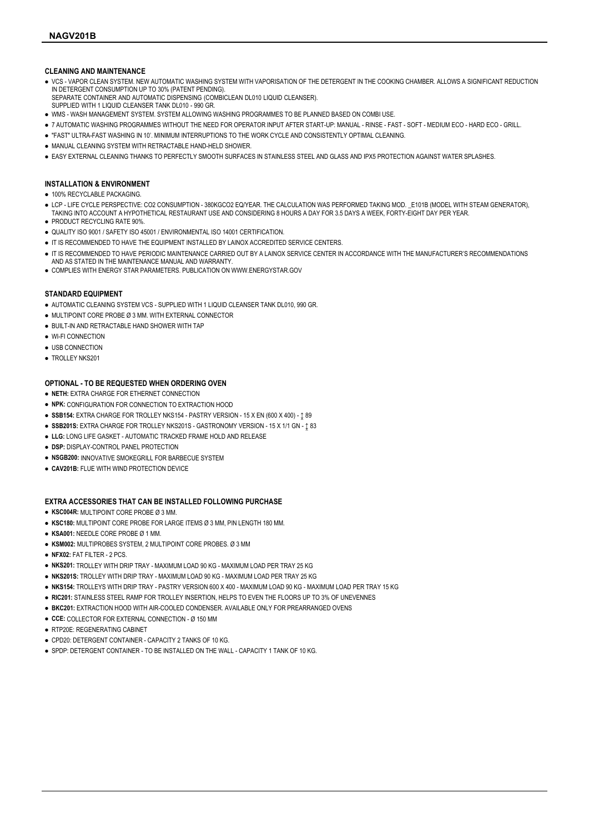## CLEANING AND MAINTENANCE

- VCS VAPOR CLEAN SYSTEM. NEW AUTOMATIC WASHING SYSTEM WITH VAPORISATION OF THE DETERGENT IN THE COOKING CHAMBER. ALLOWS A SIGNIFICANT REDUCTION IN DETERGENT CONSUMPTION UP TO 30% (PATENT PENDING).
- SEPARATE CONTAINER AND AUTOMATIC DISPENSING (COMBICLEAN DL010 LIQUID CLEANSER).
- SUPPLIED WITH 1 LIQUID CLEANSER TANK DL010 990 GR.
- WMS WASH MANAGEMENT SYSTEM. SYSTEM ALLOWING WASHING PROGRAMMES TO BE PLANNED BASED ON COMBI USE.
- 7 AUTOMATIC WASHING PROGRAMMES WITHOUT THE NEED FOR OPERATOR INPUT AFTER START-UP: MANUAL RINSE FAST SOFT MEDIUM ECO HARD ECO GRILL.
- "FAST" ULTRA-FAST WASHING IN 10'. MINIMUM INTERRUPTIONS TO THE WORK CYCLE AND CONSISTENTLY OPTIMAL CLEANING.
- MANUAL CLEANING SYSTEM WITH RETRACTABLE HAND-HELD SHOWER.
- EASY EXTERNAL CLEANING THANKS TO PERFECTLY SMOOTH SURFACES IN STAINLESS STEEL AND GLASS AND IPX5 PROTECTION AGAINST WATER SPLASHES.

## INSTALLATION & ENVIRONMENT

- 100% RECYCLABLE PACKAGING
- LCP LIFE CYCLE PERSPECTIVE: CO2 CONSUMPTION 380KGCO2 EQ/YEAR. THE CALCULATION WAS PERFORMED TAKING MOD. E101B (MODEL WITH STEAM GENERATOR), TAKING INTO ACCOUNT A HYPOTHETICAL RESTAURANT USE AND CONSIDERING 8 HOURS A DAY FOR 3.5 DAYS A WEEK, FORTY-EIGHT DAY PER YEAR.
- PRODUCT RECYCLING RATE 90%.
- QUALITY ISO 9001 / SAFETY ISO 45001 / ENVIRONMENTAL ISO 14001 CERTIFICATION
- IT IS RECOMMENDED TO HAVE THE EQUIPMENT INSTALLED BY LAINOX ACCREDITED SERVICE CENTERS.
- IT IS RECOMMENDED TO HAVE PERIODIC MAINTENANCE CARRIED OUT BY A LAINOX SERVICE CENTER IN ACCORDANCE WITH THE MANUFACTURER'S RECOMMENDATIONS AND AS STATED IN THE MAINTENANCE MANUAL AND WARRANTY.
- COMPLIES WITH ENERGY STAR PARAMETERS. PUBLICATION ON WWW.ENERGYSTAR.GOV

### STANDARD EQUIPMENT

- AUTOMATIC CLEANING SYSTEM VCS SUPPLIED WITH 1 LIQUID CLEANSER TANK DL010, 990 GR.
- MULTIPOINT CORE PROBE Ø 3 MM. WITH EXTERNAL CONNECTOR
- BUILT-IN AND RETRACTABLE HAND SHOWER WITH TAP
- WI-FI CONNECTION
- USB CONNECTION
- TROLLEY NKS201

### OPTIONAL - TO BE REQUESTED WHEN ORDERING OVEN

- NETH: EXTRA CHARGE FOR ETHERNET CONNECTION
- NPK: CONFIGURATION FOR CONNECTION TO EXTRACTION HOOD
- $\bullet$  SSB154: EXTRA CHARGE FOR TROLLEY NKS154 PASTRY VERSION 15 X EN (600 X 400) 189
- $\bullet$  SSB201S: EXTRA CHARGE FOR TROLLEY NKS201S GASTRONOMY VERSION 15 X 1/1 GN 1 83
- LLG: LONG LIFE GASKET AUTOMATIC TRACKED FRAME HOLD AND RELEASE
- **.** DSP: DISPLAY-CONTROL PANEL PROTECTION
- NSGB200: INNOVATIVE SMOKEGRILL FOR BARBECUE SYSTEM
- CAV201B: FLUE WITH WIND PROTECTION DEVICE

## EXTRA ACCESSORIES THAT CAN BE INSTALLED FOLLOWING PURCHASE

- KSC004R: MULTIPOINT CORE PROBE Ø 3 MM.
- KSC180: MULTIPOINT CORE PROBE FOR LARGE ITEMS Ø 3 MM, PIN LENGTH 180 MM.
- KSA001: NEEDLE CORE PROBE Ø 1 MM.
- KSM002: MULTIPROBES SYSTEM, 2 MULTIPOINT CORE PROBES. Ø 3 MM
- NFX02: FAT FILTER 2 PCS.
- NKS201: TROLLEY WITH DRIP TRAY MAXIMUM LOAD 90 KG MAXIMUM LOAD PER TRAY 25 KG
- NKS201S: TROLLEY WITH DRIP TRAY MAXIMUM LOAD 90 KG MAXIMUM LOAD PER TRAY 25 KG
- NKS154: TROLLEYS WITH DRIP TRAY PASTRY VERSION 600 X 400 MAXIMUM LOAD 90 KG MAXIMUM LOAD PER TRAY 15 KG
- RIC201: STAINLESS STEEL RAMP FOR TROLLEY INSERTION, HELPS TO EVEN THE FLOORS UP TO 3% OF UNEVENNES
- BKC201: EXTRACTION HOOD WITH AIR-COOLED CONDENSER. AVAILABLE ONLY FOR PREARRANGED OVENS
- CCE: COLLECTOR FOR EXTERNAL CONNECTION Ø 150 MM
- RTP20E: REGENERATING CABINET
- CPD20: DETERGENT CONTAINER CAPACITY 2 TANKS OF 10 KG.
- SPDP: DETERGENT CONTAINER TO BE INSTALLED ON THE WALL CAPACITY 1 TANK OF 10 KG.